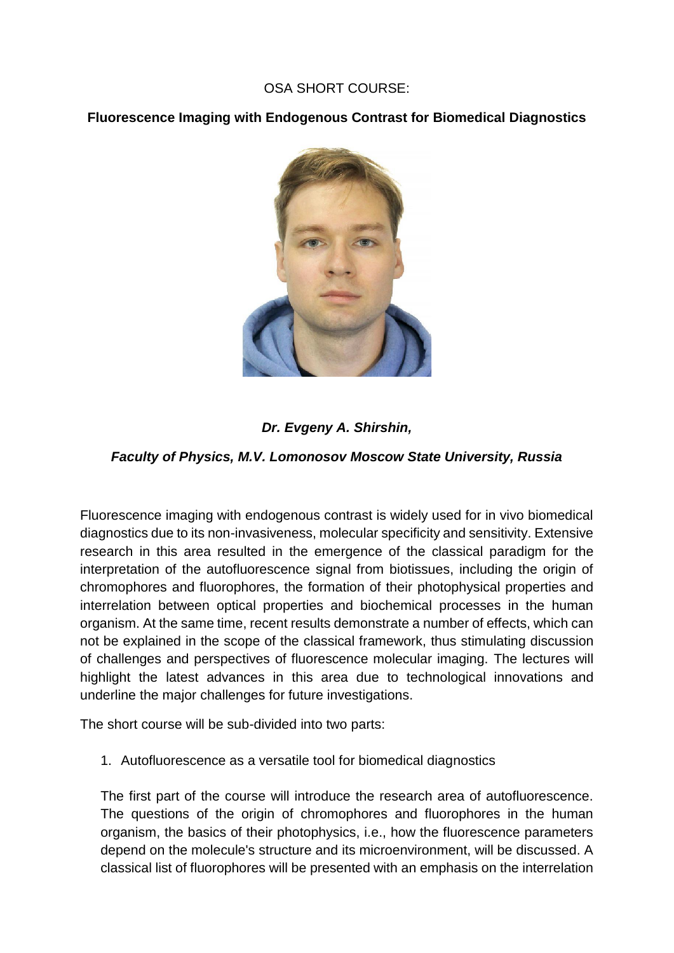## OSA SHORT COURSE:

**Fluorescence Imaging with Endogenous Contrast for Biomedical Diagnostics**



# *Dr. Evgeny A. Shirshin,*

## *Faculty of Physics, M.V. Lomonosov Moscow State University, Russia*

Fluorescence imaging with endogenous contrast is widely used for in vivo biomedical diagnostics due to its non-invasiveness, molecular specificity and sensitivity. Extensive research in this area resulted in the emergence of the classical paradigm for the interpretation of the autofluorescence signal from biotissues, including the origin of chromophores and fluorophores, the formation of their photophysical properties and interrelation between optical properties and biochemical processes in the human organism. At the same time, recent results demonstrate a number of effects, which can not be explained in the scope of the classical framework, thus stimulating discussion of challenges and perspectives of fluorescence molecular imaging. The lectures will highlight the latest advances in this area due to technological innovations and underline the major challenges for future investigations.

The short course will be sub-divided into two parts:

1. Autofluorescence as a versatile tool for biomedical diagnostics

The first part of the course will introduce the research area of autofluorescence. The questions of the origin of chromophores and fluorophores in the human organism, the basics of their photophysics, i.e., how the fluorescence parameters depend on the molecule's structure and its microenvironment, will be discussed. A classical list of fluorophores will be presented with an emphasis on the interrelation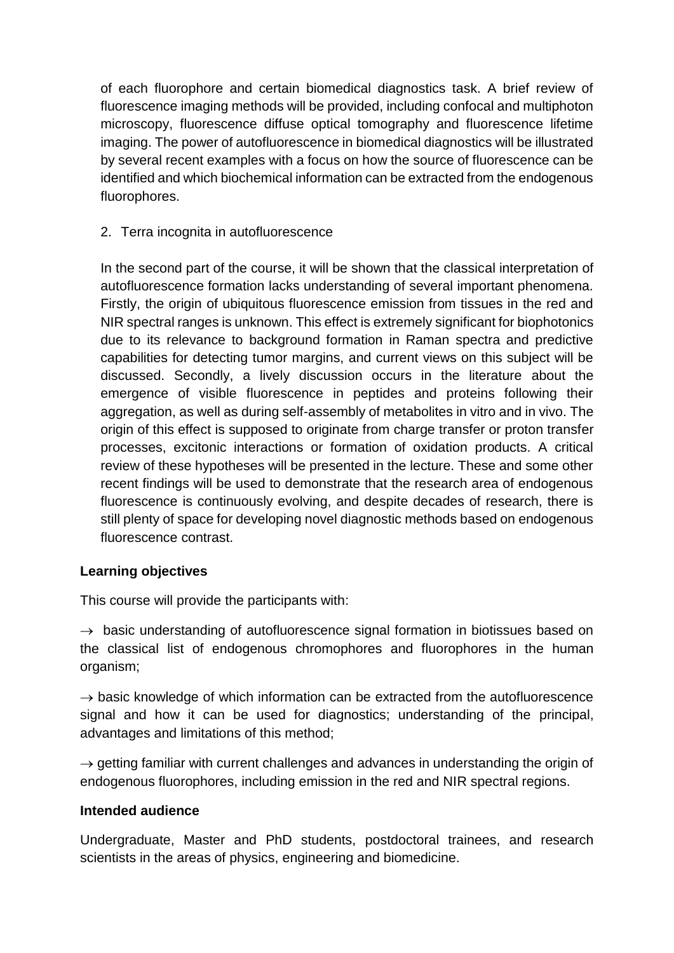of each fluorophore and certain biomedical diagnostics task. A brief review of fluorescence imaging methods will be provided, including confocal and multiphoton microscopy, fluorescence diffuse optical tomography and fluorescence lifetime imaging. The power of autofluorescence in biomedical diagnostics will be illustrated by several recent examples with a focus on how the source of fluorescence can be identified and which biochemical information can be extracted from the endogenous fluorophores.

## 2. Terra incognita in autofluorescence

In the second part of the course, it will be shown that the classical interpretation of autofluorescence formation lacks understanding of several important phenomena. Firstly, the origin of ubiquitous fluorescence emission from tissues in the red and NIR spectral ranges is unknown. This effect is extremely significant for biophotonics due to its relevance to background formation in Raman spectra and predictive capabilities for detecting tumor margins, and current views on this subject will be discussed. Secondly, a lively discussion occurs in the literature about the emergence of visible fluorescence in peptides and proteins following their aggregation, as well as during self-assembly of metabolites in vitro and in vivo. The origin of this effect is supposed to originate from charge transfer or proton transfer processes, excitonic interactions or formation of oxidation products. A critical review of these hypotheses will be presented in the lecture. These and some other recent findings will be used to demonstrate that the research area of endogenous fluorescence is continuously evolving, and despite decades of research, there is still plenty of space for developing novel diagnostic methods based on endogenous fluorescence contrast.

## **Learning objectives**

This course will provide the participants with:

 $\rightarrow$  basic understanding of autofluorescence signal formation in biotissues based on the classical list of endogenous chromophores and fluorophores in the human organism;

 $\rightarrow$  basic knowledge of which information can be extracted from the autofluorescence signal and how it can be used for diagnostics; understanding of the principal, advantages and limitations of this method;

 $\rightarrow$  getting familiar with current challenges and advances in understanding the origin of endogenous fluorophores, including emission in the red and NIR spectral regions.

## **Intended audience**

Undergraduate, Master and PhD students, postdoctoral trainees, and research scientists in the areas of physics, engineering and biomedicine.